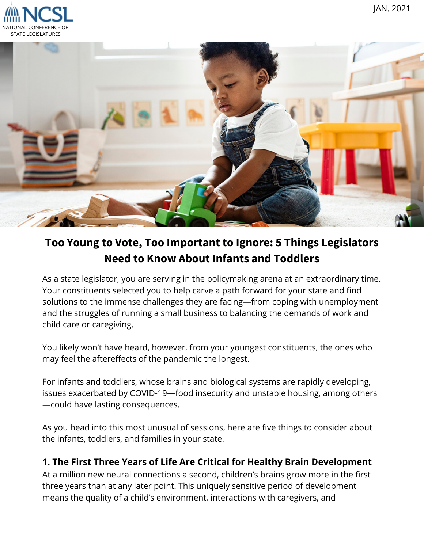



# **Too Young to Vote, Too Important to Ignore: 5 Things Legislators Need to Know About Infants and Toddlers**

As a state legislator, you are serving in the policymaking arena at an extraordinary time. Your constituents selected you to help carve a path forward for your state and find solutions to the immense challenges they are facing—from coping with unemployment and the struggles of running a small business to balancing the demands of work and child care or caregiving.

You likely won't have heard, however, from your youngest constituents, the ones who may feel the aftereffects of the pandemic the longest.

For infants and toddlers, whose brains and biological systems are rapidly developing, issues exacerbated by COVID-19—food insecurity and unstable housing, among others —could have lasting consequences.

As you head into this most unusual of sessions, here are five things to consider about the infants, toddlers, and families in your state.

## **1. The First Three Years of Life Are Critical for Healthy Brain Development**

At a million new neural connections a second, children's brains grow more in the first three years than at any later point. This uniquely sensitive period of development means the quality of a child's environment, interactions with caregivers, and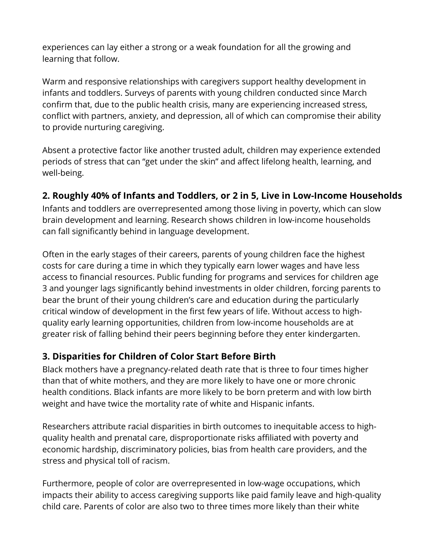experiences can [lay either a strong or a weak foundation](https://www.thencit.org/sites/default/files/2020-11/NCIT%20Brain%20Science%20Infograhic.pdf) for all the growing and learning that follow.

Warm and responsive relationships with caregivers support healthy development in infants and toddlers. Surveys of parents with young children conducted since March confirm that, due to the public health crisis, many are experiencing increased stress, [conflict with partners, anxiety, and depression, all of which can compromise their abi](https://medium.com/rapid-ec-project)lity to provide nurturing caregiving.

Absent a protective factor like another trusted adult, children may experience extended periods of stress that can "[get under the skin](https://developingchild.harvard.edu/resources/three-early-childhood-development-principles-improve-child-family-outcomes/)" and affect lifelong health, learning, and well-being.

## **2. Roughly 40% of Infants and Toddlers, or 2 in 5, Live in Low-Income Households**

Infants and toddlers are [overrepresented](https://stateofbabies.org/wp-content/uploads/2020/06/State-of-Babies-2020-Full-Yearbook-061820.pdf) among those living in poverty, which can slow brain development and learning. Research shows children in low-income households can [fall significantly behind](https://www.ncbi.nlm.nih.gov/pmc/articles/PMC3582035/) in language development.

Often in the early stages of their careers, parents of young children face the highest costs for care during a time in which they typically earn lower wages and have less access to financial resources. Public funding for programs and services for children age 3 and younger [lags significantly behind investments in older children](https://obamawhitehouse.archives.gov/sites/default/files/page/files/201612_issue_brief_cea_resources_needs_investing_in_children.pdf), forcing parents to bear the brunt of their young children's care and education during the particularly critical window of development in the first few years of life. Without access to highquality early learning opportunities, children from low-income households are at greater risk of falling behind their peers beginning before they enter kindergarten.

### **3. Disparities for Children of Color Start Before Birth**

Black mothers have a [pregnancy-related death rate](https://www.ncsl.org/Portals/1/Documents/Health/Infant-Maternal-Mortality_v05_web.pdf) that is three to four times higher than that of white mothers, and they are more likely to have one or more chronic health conditions. Black infants are more likely to be born preterm and with low birth weight and have twice the mortality rate of white and Hispanic infants.

Researchers attribute [racial disparities in birth outcomes](https://pn3policy.org/wp-content/uploads/2020/10/2020-GOAL-Healthy-and-Equitable-Births.pdf) to inequitable access to highquality health and prenatal care, disproportionate risks affiliated with poverty and economic hardship, discriminatory policies, bias from health care providers, and the stress and physical toll of racism.

Furthermore, people of color are [overrepresented in low-wage occupations](https://nwlc.org/wp-content/uploads/2016/01/FINAL-Set-Up-To-Fail-When-Low-Wage-Work-Jeopardizes-Parents%E2%80%99-and-Children%E2%80%99s-Success.pdf), which impacts their ability to access caregiving supports like paid family leave and high-quality child care. Parents of color are also two to three times more likely than their white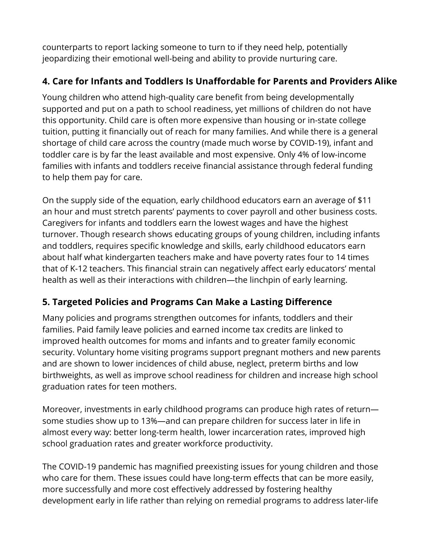counterparts to report lacking [someone to turn to if they need help,](https://pn3policy.org/wp-content/uploads/2020/10/2020-GOAL-Parental-Health-and-Emotional-Wellbeing.pdf) potentially jeopardizing their emotional well-being and ability to provide nurturing care.

# **4. Care for Infants and Toddlers Is Unaffordable for Parents and Providers Alike**

Young children who attend high-quality care benefit from being developmentally supported and put on a path to school readiness, yet millions of children do not have [this opportunity. Child care is often more expensive than housing or in-state college](https://cdn2.hubspot.net/hubfs/3957809/2019%20Price%20of%20Care%20State%20Sheets/Final-TheUSandtheHighPriceofChildCare-AnExaminationofaBrokenSystem.pdf?utm_referrer=https%3A%2F%2Fwww.childcareaware.org%2F) tuition, putting it financially out of reach for many families. And while there is a general shortage of child care across the country ([made much worse by COVID-19](https://www.ncsl.org/research/education/child-care-a-necessity-for-rebuilding-the-economy-magazine2020.aspx?utm_source=National+Conference+of+State+Legislatures&utm_campaign=60daedaa3e-NCSL_State_Legislatures_Magazine_December_2&utm_medium=email&utm_term=0_1716623089-60daedaa3e-377770108)), infant and toddler care is by far the [least available](https://www.americanprogress.org/issues/early-childhood/reports/2018/10/31/460128/understanding-infant-toddler-child-care-deserts/) and most expensive. [Only 4%](https://stateofbabies.org/impact-area/learning/) of low-income families with infants and toddlers receive financial assistance through federal funding to help them pay for care.

On the supply side of the equation, early childhood educators earn an average of \$11 an hour and must stretch parents' payments to cover payroll and other business costs. Caregivers for infants and toddlers earn the lowest wages and have the highest [turnover. Though research shows educating groups of young children, including](https://cscce.berkeley.edu/files/2018/08/2018-Index-Infographic.jpg) infants and toddlers, requires specific knowledge and skills, early childhood educators earn about half what kindergarten teachers make and have poverty rates four to 14 times that of K-12 teachers. This financial strain can negatively affect early educators' mental health as well as their interactions with children—the linchpin of early learning.

## **5. Targeted Policies and Programs Can Make a Lasting Difference**

Many [policies](https://www.ncsl.org/research/human-services/2019-prenatal-to-three-legislative-action-report.aspx) and programs strengthen outcomes for infants, toddlers and their families. [Paid family leave](https://www.ncsl.org/research/labor-and-employment/time-off-to-care.aspx) policies and [earned income tax credits](https://www.ncsl.org/research/labor-and-employment/earned-income-tax-credits-for-working-families.aspx) are linked to improved health outcomes for moms and infants and to greater family economic security. Voluntary [home visiting](https://www.ncsl.org/research/human-services/home-visiting-improving-outcomes-for-children635399078.aspx) programs support pregnant mothers and new parents and are shown to lower incidences of child abuse, neglect, preterm births and low birthweights, as well as improve school readiness for children and increase high school graduation rates for teen mothers.

Moreover, investments in early childhood programs can produce high rates of return [some studies show up to 13%](https://heckmanequation.org/resource/lifecycle-benefits-influential-early-childhood-program/)—and can prepare children for success later in life in almost every way: better long-term health, lower incarceration rates, improved high school graduation rates and greater workforce productivity.

The COVID-19 pandemic has magnified preexisting issues for young children and those who care for them. These issues could have long-term effects that can be more easily, more successfully and more cost effectively addressed by fostering healthy development early in life rather than relying on remedial programs to address later-life